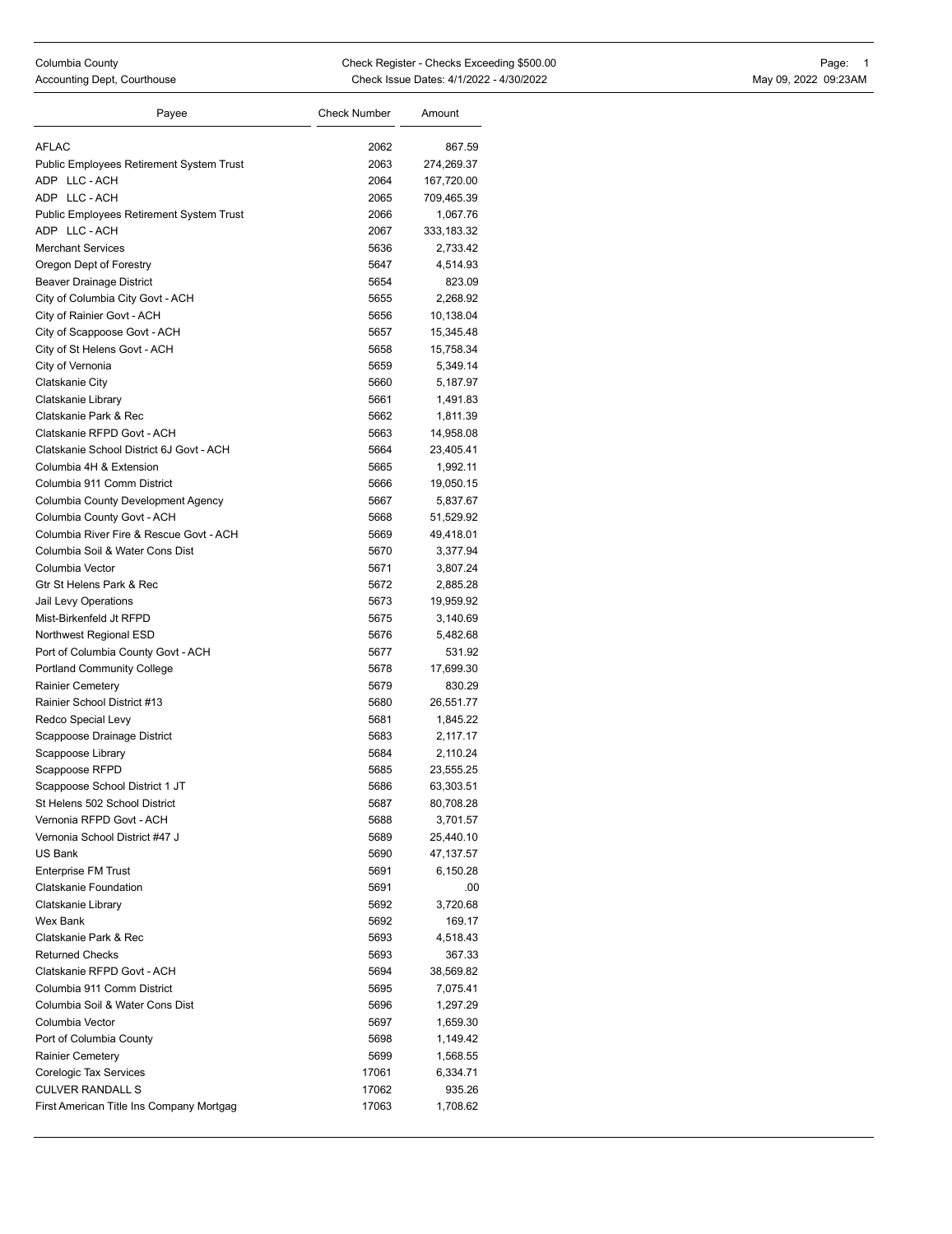| Payee                                           | <b>Check Number</b> | Amount     |
|-------------------------------------------------|---------------------|------------|
| <b>AFLAC</b>                                    | 2062                | 867.59     |
| Public Employees Retirement System Trust        | 2063                | 274,269.37 |
| ADP LLC-ACH                                     | 2064                | 167,720.00 |
| ADP LLC-ACH                                     | 2065                | 709,465.39 |
| <b>Public Employees Retirement System Trust</b> | 2066                | 1,067.76   |
| ADP LLC-ACH                                     | 2067                | 333,183.32 |
| <b>Merchant Services</b>                        | 5636                | 2,733.42   |
| Oregon Dept of Forestry                         | 5647                | 4,514.93   |
| Beaver Drainage District                        | 5654                | 823.09     |
| City of Columbia City Govt - ACH                | 5655                | 2.268.92   |
| City of Rainier Govt - ACH                      | 5656                | 10,138.04  |
| City of Scappoose Govt - ACH                    | 5657                | 15,345.48  |
| City of St Helens Govt - ACH                    | 5658                | 15,758.34  |
| City of Vernonia                                | 5659                | 5,349.14   |
| Clatskanie City                                 | 5660                | 5,187.97   |
| Clatskanie Library                              | 5661                | 1,491.83   |
| Clatskanie Park & Rec                           | 5662                | 1,811.39   |
| Clatskanie RFPD Govt - ACH                      | 5663                | 14,958.08  |
| Clatskanie School District 6J Govt - ACH        | 5664                | 23,405.41  |
| Columbia 4H & Extension                         | 5665                | 1,992.11   |
| Columbia 911 Comm District                      | 5666                | 19,050.15  |
| Columbia County Development Agency              | 5667                | 5,837.67   |
| Columbia County Govt - ACH                      | 5668                | 51,529.92  |
| Columbia River Fire & Rescue Govt - ACH         | 5669                | 49,418.01  |
| Columbia Soil & Water Cons Dist                 | 5670                | 3,377.94   |
| Columbia Vector                                 | 5671                | 3,807.24   |
| Gtr St Helens Park & Rec                        | 5672                | 2,885.28   |
| Jail Levy Operations                            | 5673                | 19,959.92  |
| Mist-Birkenfeld Jt RFPD                         | 5675                | 3,140.69   |
| Northwest Regional ESD                          | 5676                | 5,482.68   |
| Port of Columbia County Govt - ACH              | 5677                | 531.92     |
| <b>Portland Community College</b>               | 5678                | 17,699.30  |
| <b>Rainier Cemetery</b>                         | 5679                | 830.29     |
| Rainier School District #13                     | 5680                | 26,551.77  |
| Redco Special Levy                              | 5681                | 1,845.22   |
| Scappoose Drainage District                     | 5683                | 2,117.17   |
| Scappoose Library                               | 5684                | 2,110.24   |
| Scappoose RFPD                                  | 5685                | 23,555.25  |
| Scappoose School District 1 JT                  | 5686                | 63,303.51  |
| St Helens 502 School District                   | 5687                | 80,708.28  |
| Vernonia RFPD Govt - ACH                        | 5688                | 3,701.57   |
| Vernonia School District #47 J                  | 5689                | 25,440.10  |
| US Bank                                         | 5690                | 47,137.57  |
| <b>Enterprise FM Trust</b>                      | 5691                | 6,150.28   |
| Clatskanie Foundation                           | 5691                | .00        |
| Clatskanie Library                              | 5692                | 3,720.68   |
| Wex Bank                                        | 5692                | 169.17     |
| Clatskanie Park & Rec                           | 5693                | 4,518.43   |
| <b>Returned Checks</b>                          | 5693                | 367.33     |
| Clatskanie RFPD Govt - ACH                      | 5694                | 38,569.82  |
| Columbia 911 Comm District                      | 5695                | 7,075.41   |
| Columbia Soil & Water Cons Dist                 | 5696                | 1,297.29   |
| Columbia Vector                                 | 5697                | 1,659.30   |
| Port of Columbia County                         | 5698                | 1,149.42   |
| <b>Rainier Cemetery</b>                         | 5699                | 1,568.55   |
| Corelogic Tax Services                          | 17061               | 6,334.71   |
| <b>CULVER RANDALL S</b>                         | 17062               | 935.26     |
| First American Title Ins Company Mortgag        | 17063               | 1,708.62   |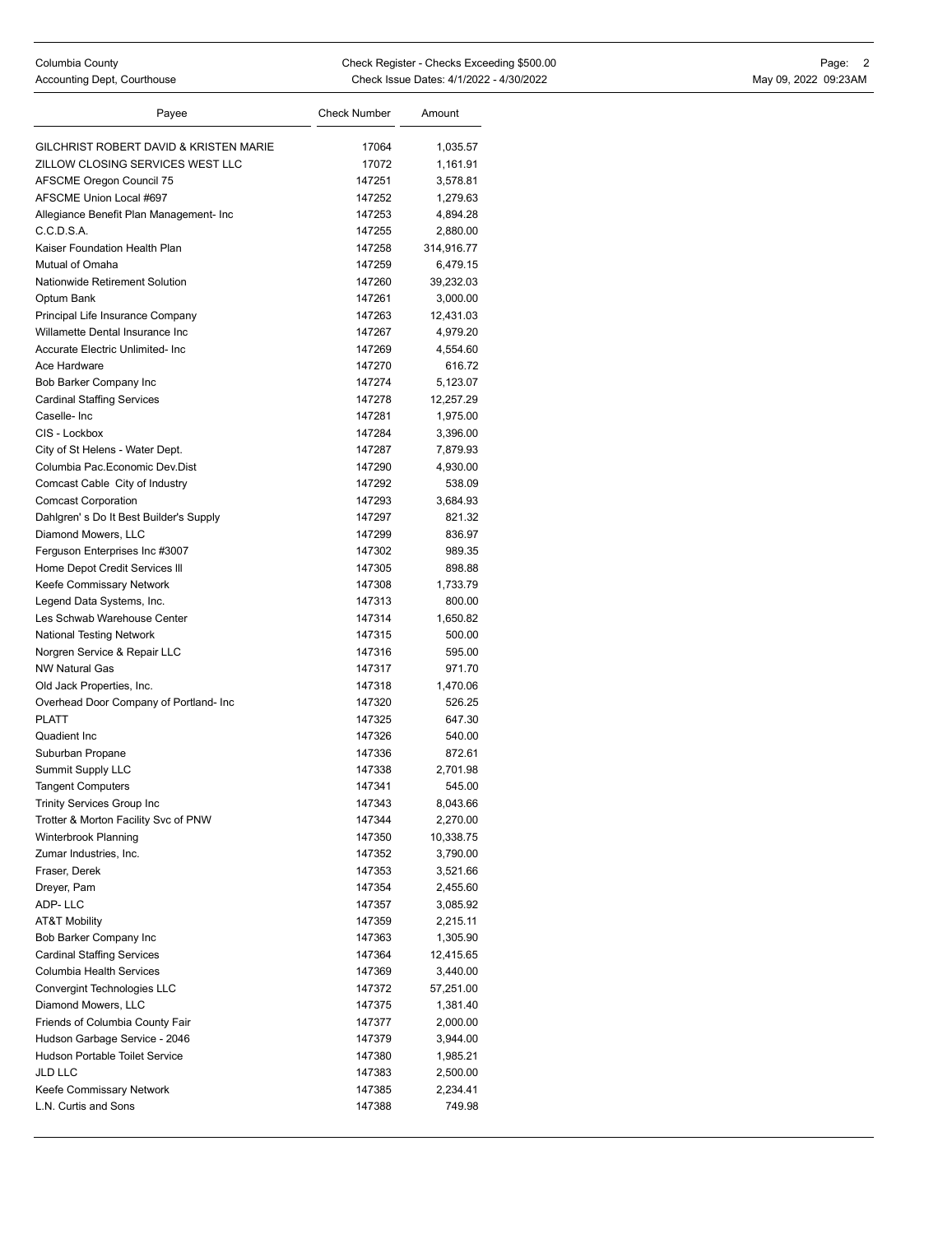| Payee                                   | <b>Check Number</b> | Amount     |
|-----------------------------------------|---------------------|------------|
| GILCHRIST ROBERT DAVID & KRISTEN MARIE  | 17064               | 1,035.57   |
| ZILLOW CLOSING SERVICES WEST LLC        | 17072               | 1,161.91   |
| <b>AFSCME Oregon Council 75</b>         | 147251              | 3,578.81   |
| AFSCME Union Local #697                 | 147252              | 1,279.63   |
| Allegiance Benefit Plan Management- Inc | 147253              | 4,894.28   |
| C.C.D.S.A.                              | 147255              | 2,880.00   |
| Kaiser Foundation Health Plan           | 147258              | 314,916.77 |
| Mutual of Omaha                         | 147259              | 6,479.15   |
| Nationwide Retirement Solution          | 147260              | 39,232.03  |
| Optum Bank                              | 147261              | 3,000.00   |
| Principal Life Insurance Company        | 147263              | 12,431.03  |
| Willamette Dental Insurance Inc         | 147267              | 4,979.20   |
| Accurate Electric Unlimited- Inc        | 147269              | 4,554.60   |
| Ace Hardware                            | 147270              | 616.72     |
| Bob Barker Company Inc                  | 147274              | 5,123.07   |
| <b>Cardinal Staffing Services</b>       | 147278              | 12,257.29  |
| Caselle-Inc                             | 147281              | 1,975.00   |
| CIS - Lockbox                           | 147284              | 3,396.00   |
| City of St Helens - Water Dept.         | 147287              | 7,879.93   |
| Columbia Pac. Economic Dev. Dist        | 147290              | 4,930.00   |
| Comcast Cable City of Industry          | 147292              | 538.09     |
| <b>Comcast Corporation</b>              | 147293              | 3,684.93   |
| Dahlgren's Do It Best Builder's Supply  | 147297              | 821.32     |
| Diamond Mowers, LLC                     | 147299              | 836.97     |
| Ferguson Enterprises Inc #3007          | 147302              | 989.35     |
| Home Depot Credit Services III          | 147305              | 898.88     |
| Keefe Commissary Network                | 147308              | 1,733.79   |
| Legend Data Systems, Inc.               | 147313              | 800.00     |
| Les Schwab Warehouse Center             | 147314              | 1,650.82   |
| <b>National Testing Network</b>         | 147315              | 500.00     |
| Norgren Service & Repair LLC            | 147316              | 595.00     |
| <b>NW Natural Gas</b>                   | 147317              | 971.70     |
| Old Jack Properties, Inc.               | 147318              | 1,470.06   |
| Overhead Door Company of Portland- Inc  | 147320              | 526.25     |
| <b>PLATT</b>                            | 147325              | 647.30     |
| Quadient Inc                            | 147326              | 540.00     |
| Suburban Propane                        | 147336              | 872.61     |
| <b>Summit Supply LLC</b>                | 147338              | 2,701.98   |
| <b>Tangent Computers</b>                | 147341              | 545.00     |
| Trinity Services Group Inc              | 147343              | 8,043.66   |
| Trotter & Morton Facility Svc of PNW    | 147344              | 2,270.00   |
| Winterbrook Planning                    | 147350              | 10,338.75  |
| Zumar Industries, Inc.                  | 147352              | 3,790.00   |
| Fraser, Derek                           | 147353              | 3,521.66   |
| Dreyer, Pam                             | 147354              | 2,455.60   |
| ADP-LLC                                 | 147357              | 3,085.92   |
| <b>AT&amp;T Mobility</b>                | 147359              | 2,215.11   |
| Bob Barker Company Inc                  | 147363              | 1,305.90   |
| <b>Cardinal Staffing Services</b>       | 147364              | 12,415.65  |
| Columbia Health Services                | 147369              | 3,440.00   |
| Convergint Technologies LLC             | 147372              | 57,251.00  |
| Diamond Mowers, LLC                     | 147375              | 1,381.40   |
| Friends of Columbia County Fair         | 147377              | 2,000.00   |
| Hudson Garbage Service - 2046           | 147379              | 3,944.00   |
| Hudson Portable Toilet Service          | 147380              | 1,985.21   |
| <b>JLD LLC</b>                          | 147383              | 2,500.00   |
| Keefe Commissary Network                | 147385              | 2,234.41   |
| L.N. Curtis and Sons                    | 147388              | 749.98     |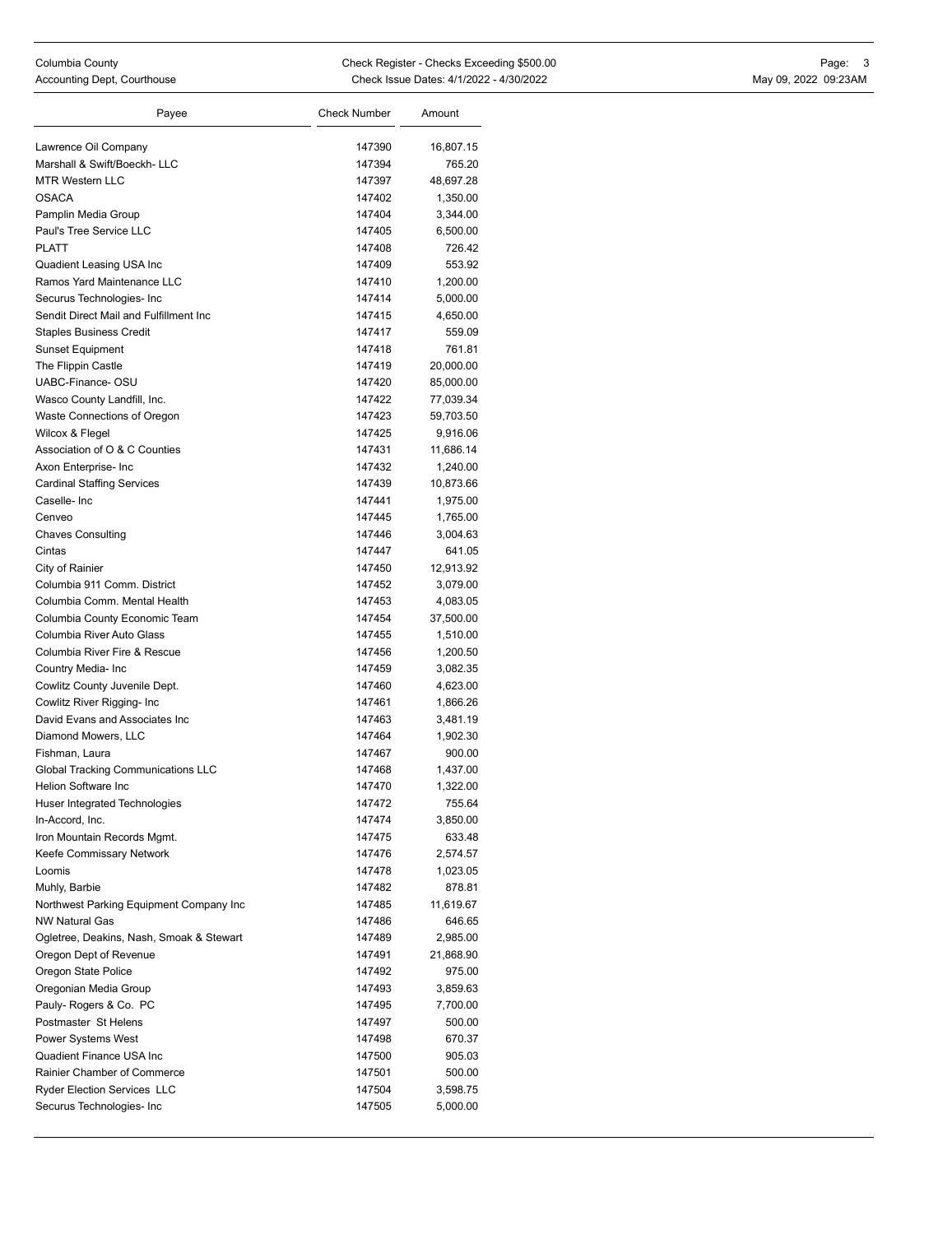| Payee                                                               | <b>Check Number</b> | Amount             |
|---------------------------------------------------------------------|---------------------|--------------------|
|                                                                     |                     |                    |
| Lawrence Oil Company<br>Marshall & Swift/Boeckh-LLC                 | 147390<br>147394    | 16,807.15          |
| <b>MTR Western LLC</b>                                              |                     | 765.20             |
| <b>OSACA</b>                                                        | 147397              | 48,697.28          |
|                                                                     | 147402<br>147404    | 1,350.00           |
| Pamplin Media Group<br>Paul's Tree Service LLC                      | 147405              | 3,344.00           |
| <b>PLATT</b>                                                        | 147408              | 6,500.00<br>726.42 |
|                                                                     |                     |                    |
| Quadient Leasing USA Inc<br>Ramos Yard Maintenance LLC              | 147409<br>147410    | 553.92             |
|                                                                     |                     | 1,200.00           |
| Securus Technologies- Inc<br>Sendit Direct Mail and Fulfillment Inc | 147414              | 5,000.00           |
| <b>Staples Business Credit</b>                                      | 147415<br>147417    | 4,650.00<br>559.09 |
| <b>Sunset Equipment</b>                                             |                     |                    |
|                                                                     | 147418<br>147419    | 761.81             |
| The Flippin Castle<br>UABC-Finance-OSU                              | 147420              | 20,000.00          |
|                                                                     | 147422              | 85,000.00          |
| Wasco County Landfill, Inc.                                         | 147423              | 77,039.34          |
| Waste Connections of Oregon                                         |                     | 59,703.50          |
| Wilcox & Flegel<br>Association of O & C Counties                    | 147425              | 9,916.06           |
|                                                                     | 147431              | 11,686.14          |
| Axon Enterprise- Inc                                                | 147432              | 1,240.00           |
| <b>Cardinal Staffing Services</b>                                   | 147439              | 10,873.66          |
| Caselle-Inc                                                         | 147441              | 1,975.00           |
| Cenveo                                                              | 147445              | 1,765.00           |
| <b>Chaves Consulting</b>                                            | 147446              | 3,004.63           |
| Cintas                                                              | 147447              | 641.05             |
| City of Rainier                                                     | 147450              | 12,913.92          |
| Columbia 911 Comm. District                                         | 147452              | 3,079.00           |
| Columbia Comm. Mental Health                                        | 147453              | 4,083.05           |
| Columbia County Economic Team                                       | 147454              | 37,500.00          |
| Columbia River Auto Glass                                           | 147455              | 1,510.00           |
| Columbia River Fire & Rescue                                        | 147456              | 1,200.50           |
| Country Media- Inc                                                  | 147459              | 3,082.35           |
| Cowlitz County Juvenile Dept.                                       | 147460              | 4,623.00           |
| Cowlitz River Rigging- Inc                                          | 147461              | 1,866.26           |
| David Evans and Associates Inc                                      | 147463              | 3,481.19           |
| Diamond Mowers, LLC                                                 | 147464              | 1,902.30           |
| Fishman, Laura                                                      | 147467              | 900.00             |
| <b>Global Tracking Communications LLC</b>                           | 147468              | 1,437.00           |
| <b>Helion Software Inc</b>                                          | 147470              | 1,322.00           |
| <b>Huser Integrated Technologies</b>                                | 147472              | 755.64             |
| In-Accord, Inc.                                                     | 147474              | 3,850.00           |
| Iron Mountain Records Mgmt.                                         | 147475              | 633.48             |
| Keefe Commissary Network                                            | 147476              | 2,574.57           |
| Loomis                                                              | 147478              | 1,023.05           |
| Muhly, Barbie                                                       | 147482              | 878.81             |
| Northwest Parking Equipment Company Inc                             | 147485              | 11,619.67          |
| <b>NW Natural Gas</b>                                               | 147486              | 646.65             |
| Ogletree, Deakins, Nash, Smoak & Stewart                            | 147489              | 2,985.00           |
| Oregon Dept of Revenue                                              | 147491              | 21,868.90          |
| Oregon State Police                                                 | 147492              | 975.00             |
| Oregonian Media Group                                               | 147493              | 3,859.63           |
| Pauly-Rogers & Co. PC                                               | 147495              | 7,700.00           |
| Postmaster St Helens                                                | 147497              | 500.00             |
| Power Systems West                                                  | 147498              | 670.37             |
| Quadient Finance USA Inc                                            | 147500              | 905.03             |
| Rainier Chamber of Commerce                                         | 147501              | 500.00             |
| <b>Ryder Election Services LLC</b>                                  | 147504              | 3,598.75           |
| Securus Technologies- Inc                                           | 147505              | 5,000.00           |
|                                                                     |                     |                    |